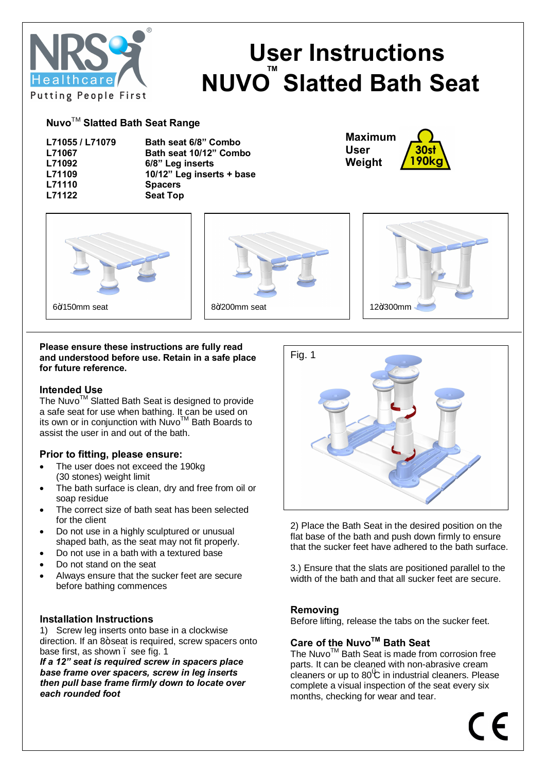

# **User Instructions NUVO<sup>™</sup> Slatted Bath Seat**

## **Nuvo**TM **Slatted Bath Seat Range**

| L71055 / L71079 | Bath seat 6/8" Combo      |
|-----------------|---------------------------|
| L71067          | Bath seat 10/12" Combo    |
| L71092          | 6/8" Leg inserts          |
| L71109          | 10/12" Leg inserts + base |
| L71110          | <b>Spacers</b>            |
| L71122          | <b>Seat Top</b>           |

**Maximum User Weight**90k







#### **Please ensure these instructions are fully read and understood before use. Retain in a safe place for future reference.**

## **Intended Use**

The Nuvo™ Slatted Bath Seat is designed to provide a safe seat for use when bathing. It can be used on its own or in conjunction with NuvoTM Bath Boards to assist the user in and out of the bath.

## **Prior to fitting, please ensure:**

- The user does not exceed the 190kg (30 stones) weight limit
- The bath surface is clean, dry and free from oil or soap residue
- The correct size of bath seat has been selected for the client
- · Do not use in a highly sculptured or unusual shaped bath, as the seat may not fit properly.
- · Do not use in a bath with a textured base
- Do not stand on the seat
- Always ensure that the sucker feet are secure before bathing commences

## **Installation Instructions**

1) Screw leg inserts onto base in a clockwise direction. If an 8+ seat is required, screw spacers onto base first, as shown, see fig. 1

*If a 12" seat is required screw in spacers place base frame over spacers, screw in leg inserts then pull base frame firmly down to locate over each rounded foot*



2) Place the Bath Seat in the desired position on the flat base of the bath and push down firmly to ensure that the sucker feet have adhered to the bath surface.

3.) Ensure that the slats are positioned parallel to the width of the bath and that all sucker feet are secure.

## **Removing**

Before lifting, release the tabs on the sucker feet.

## **Care of the NuvoTM Bath Seat**

The Nuvo<sup>™</sup> Bath Seat is made from corrosion free parts. It can be cleaned with non-abrasive cream cleaners or up to 80 C in industrial cleaners. Please complete a visual inspection of the seat every six months, checking for wear and tear.